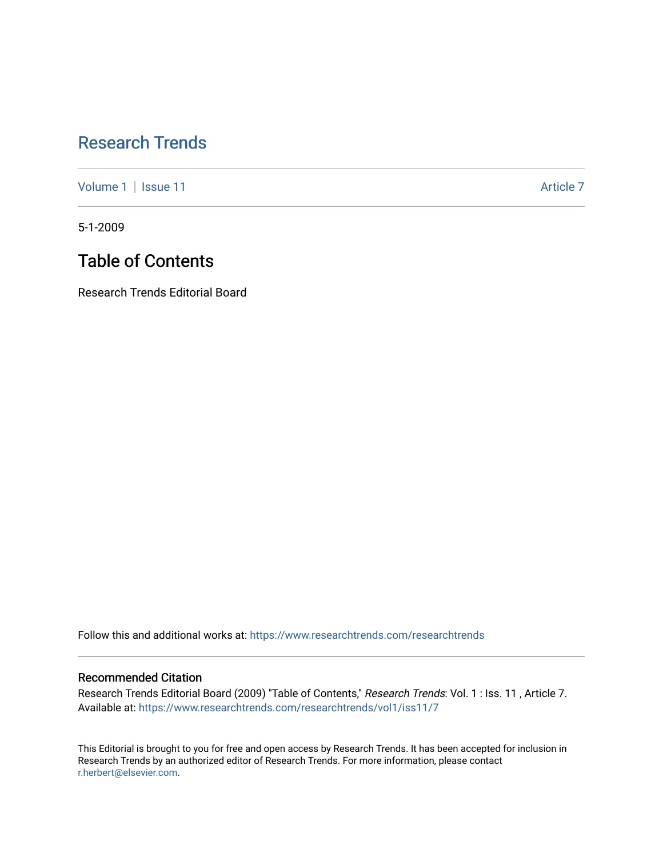## [Research Trends](https://www.researchtrends.com/researchtrends)

[Volume 1](https://www.researchtrends.com/researchtrends/vol1) | [Issue 11](https://www.researchtrends.com/researchtrends/vol1/iss11) Article 7

5-1-2009

# Table of Contents

Research Trends Editorial Board

Follow this and additional works at: [https://www.researchtrends.com/researchtrends](https://www.researchtrends.com/researchtrends?utm_source=www.researchtrends.com%2Fresearchtrends%2Fvol1%2Fiss11%2F7&utm_medium=PDF&utm_campaign=PDFCoverPages) 

#### Recommended Citation

Research Trends Editorial Board (2009) "Table of Contents," Research Trends: Vol. 1 : Iss. 11 , Article 7. Available at: [https://www.researchtrends.com/researchtrends/vol1/iss11/7](https://www.researchtrends.com/researchtrends/vol1/iss11/7?utm_source=www.researchtrends.com%2Fresearchtrends%2Fvol1%2Fiss11%2F7&utm_medium=PDF&utm_campaign=PDFCoverPages)

This Editorial is brought to you for free and open access by Research Trends. It has been accepted for inclusion in Research Trends by an authorized editor of Research Trends. For more information, please contact [r.herbert@elsevier.com.](mailto:r.herbert@elsevier.com)